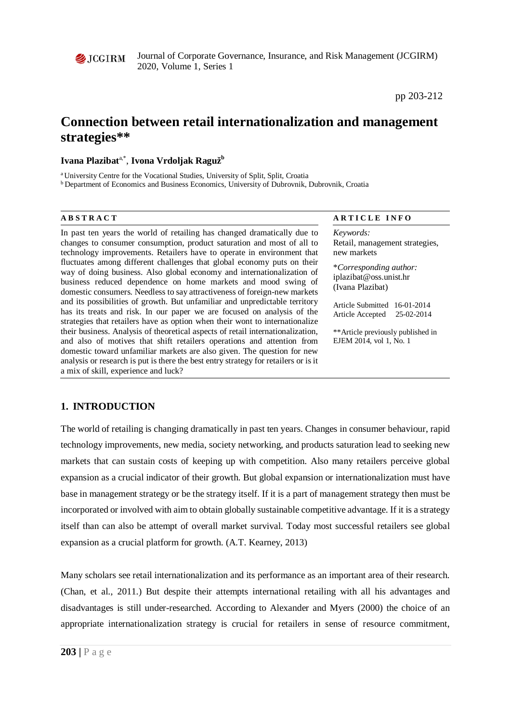

Journal of Corporate Governance, Insurance, and Risk Management (JCGIRM) 2020, Volume 1, Series 1

pp 203-212

# **Connection between retail internationalization and management strategies\*\***

#### **Ivana Plazibat**a,\*, **Ivona Vrdoljak Ragužb**

a University Centre for the Vocational Studies, University of Split, Split, Croatia

**b** Department of Economics and Business Economics, University of Dubrovnik, Dubrovnik, Croatia

In past ten years the world of retailing has changed dramatically due to changes to consumer consumption, product saturation and most of all to technology improvements. Retailers have to operate in environment that fluctuates among different challenges that global economy puts on their way of doing business. Also global economy and internationalization of business reduced dependence on home markets and mood swing of domestic consumers. Needless to say attractiveness of foreign-new markets and its possibilities of growth. But unfamiliar and unpredictable territory has its treats and risk. In our paper we are focused on analysis of the strategies that retailers have as option when their wont to internationalize their business. Analysis of theoretical aspects of retail internationalization, and also of motives that shift retailers operations and attention from domestic toward unfamiliar markets are also given. The question for new analysis or research is put is there the best entry strategy for retailers or is it a mix of skill, experience and luck?

#### **ABSTRACT** ARTICLE INFO

*Keywords:* Retail, management strategies, new markets

\**Corresponding author:*  iplazibat@oss.unist.hr (Ivana Plazibat)

Article Submitted 16-01-2014 Article Accepted 25-02-2014

\*\*Article previously published in EJEM 2014, vol 1, No. 1

## **1. INTRODUCTION**

The world of retailing is changing dramatically in past ten years. Changes in consumer behaviour, rapid technology improvements, new media, society networking, and products saturation lead to seeking new markets that can sustain costs of keeping up with competition. Also many retailers perceive global expansion as a crucial indicator of their growth. But global expansion or internationalization must have base in management strategy or be the strategy itself. If it is a part of management strategy then must be incorporated or involved with aim to obtain globally sustainable competitive advantage. If it is a strategy itself than can also be attempt of overall market survival. Today most successful retailers see global expansion as a crucial platform for growth. (A.T. Kearney, 2013)

Many scholars see retail internationalization and its performance as an important area of their research. (Chan, et al., 2011.) But despite their attempts international retailing with all his advantages and disadvantages is still under-researched. According to Alexander and Myers (2000) the choice of an appropriate internationalization strategy is crucial for retailers in sense of resource commitment,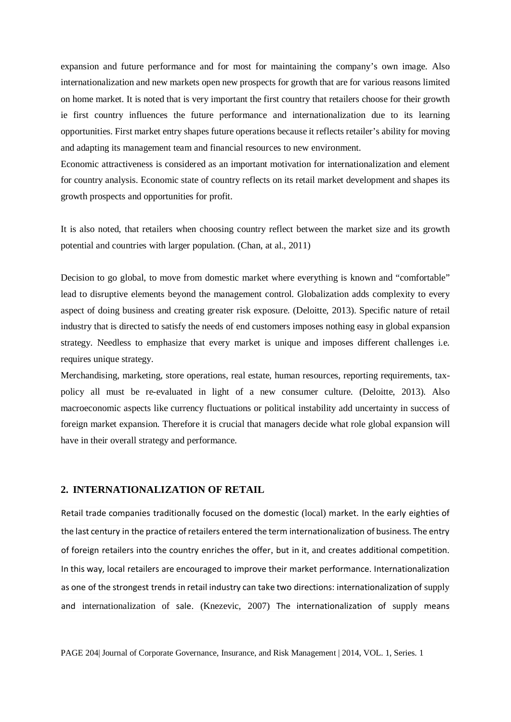expansion and future performance and for most for maintaining the company's own image. Also internationalization and new markets open new prospects for growth that are for various reasons limited on home market. It is noted that is very important the first country that retailers choose for their growth ie first country influences the future performance and internationalization due to its learning opportunities. First market entry shapes future operations because it reflects retailer's ability for moving and adapting its management team and financial resources to new environment.

Economic attractiveness is considered as an important motivation for internationalization and element for country analysis. Economic state of country reflects on its retail market development and shapes its growth prospects and opportunities for profit.

It is also noted, that retailers when choosing country reflect between the market size and its growth potential and countries with larger population. (Chan, at al., 2011)

Decision to go global, to move from domestic market where everything is known and "comfortable" lead to disruptive elements beyond the management control. Globalization adds complexity to every aspect of doing business and creating greater risk exposure. (Deloitte, 2013). Specific nature of retail industry that is directed to satisfy the needs of end customers imposes nothing easy in global expansion strategy. Needless to emphasize that every market is unique and imposes different challenges i.e. requires unique strategy.

Merchandising, marketing, store operations, real estate, human resources, reporting requirements, taxpolicy all must be re-evaluated in light of a new consumer culture. (Deloitte, 2013). Also macroeconomic aspects like currency fluctuations or political instability add uncertainty in success of foreign market expansion. Therefore it is crucial that managers decide what role global expansion will have in their overall strategy and performance.

#### **2. INTERNATIONALIZATION OF RETAIL**

Retail trade companies traditionally focused on the domestic (local) market. In the early eighties of the last century in the practice of retailers entered the term internationalization of business. The entry of foreign retailers into the country enriches the offer, but in it, and creates additional competition. In this way, local retailers are encouraged to improve their market performance. Internationalization as one of the strongest trends in retail industry can take two directions: internationalization of supply and internationalization of sale. (Knezevic, 2007) The internationalization of supply means

PAGE 204| Journal of Corporate Governance, Insurance, and Risk Management | 2014, VOL. 1, Series. 1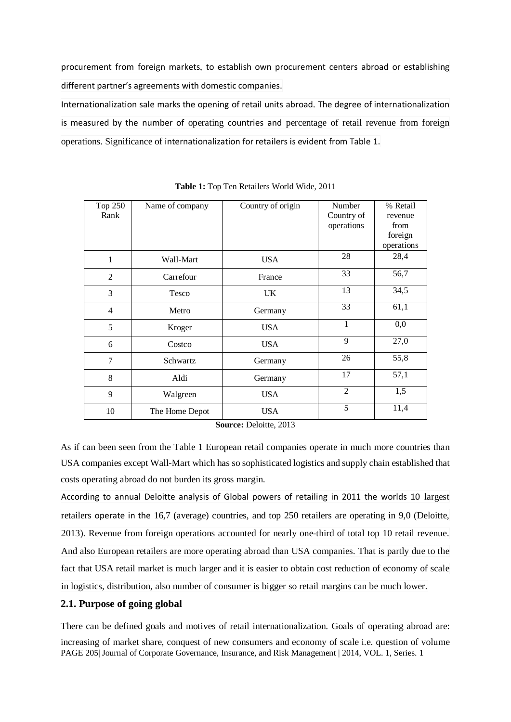procurement from foreign markets, to establish own procurement centers abroad or establishing different partner's agreements with domestic companies.

Internationalization sale marks the opening of retail units abroad. The degree of internationalization is measured by the number of operating countries and percentage of retail revenue from foreign operations. Significance of internationalization for retailers is evident from Table 1.

| Top 250<br>Rank | Name of company | Country of origin | Number<br>Country of<br>operations | % Retail<br>revenue<br>from<br>foreign<br>operations |
|-----------------|-----------------|-------------------|------------------------------------|------------------------------------------------------|
| 1               | Wall-Mart       | <b>USA</b>        | 28                                 | 28,4                                                 |
| $\overline{2}$  | Carrefour       | France            | 33                                 | 56,7                                                 |
| 3               | Tesco           | <b>UK</b>         | 13                                 | 34,5                                                 |
| $\overline{4}$  | Metro           | Germany           | 33                                 | 61,1                                                 |
| 5               | Kroger          | <b>USA</b>        | 1                                  | 0,0                                                  |
| 6               | Costco          | <b>USA</b>        | 9                                  | 27,0                                                 |
| 7               | Schwartz        | Germany           | 26                                 | 55,8                                                 |
| 8               | Aldi            | Germany           | 17                                 | 57,1                                                 |
| 9               | Walgreen        | <b>USA</b>        | $\overline{2}$                     | 1,5                                                  |
| 10              | The Home Depot  | <b>USA</b>        | 5                                  | 11,4                                                 |

**Table 1:** Top Ten Retailers World Wide, 2011

**Source:** Deloitte, 2013

As if can been seen from the Table 1 European retail companies operate in much more countries than USA companies except Wall-Mart which has so sophisticated logistics and supply chain established that costs operating abroad do not burden its gross margin.

According to annual Deloitte analysis of Global powers of retailing in 2011 the worlds 10 largest retailers operate in the 16,7 (average) countries, and top 250 retailers are operating in 9,0 (Deloitte, 2013). Revenue from foreign operations accounted for nearly one-third of total top 10 retail revenue. And also European retailers are more operating abroad than USA companies. That is partly due to the fact that USA retail market is much larger and it is easier to obtain cost reduction of economy of scale in logistics, distribution, also number of consumer is bigger so retail margins can be much lower.

#### **2.1. Purpose of going global**

PAGE 205| Journal of Corporate Governance, Insurance, and Risk Management | 2014, VOL. 1, Series. 1 There can be defined goals and motives of retail internationalization. Goals of operating abroad are: increasing of market share, conquest of new consumers and economy of scale i.e. question of volume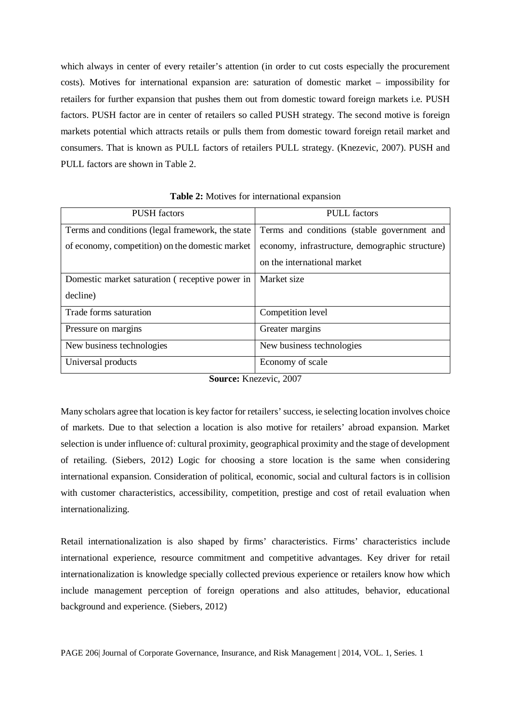which always in center of every retailer's attention (in order to cut costs especially the procurement costs). Motives for international expansion are: saturation of domestic market – impossibility for retailers for further expansion that pushes them out from domestic toward foreign markets i.e. PUSH factors. PUSH factor are in center of retailers so called PUSH strategy. The second motive is foreign markets potential which attracts retails or pulls them from domestic toward foreign retail market and consumers. That is known as PULL factors of retailers PULL strategy. (Knezevic, 2007). PUSH and PULL factors are shown in Table 2.

| <b>PUSH</b> factors                              | <b>PULL</b> factors                             |  |
|--------------------------------------------------|-------------------------------------------------|--|
| Terms and conditions (legal framework, the state | Terms and conditions (stable government and     |  |
| of economy, competition) on the domestic market  | economy, infrastructure, demographic structure) |  |
|                                                  | on the international market                     |  |
| Domestic market saturation (receptive power in   | Market size                                     |  |
| decline)                                         |                                                 |  |
| Trade forms saturation                           | Competition level                               |  |
| Pressure on margins                              | Greater margins                                 |  |
| New business technologies                        | New business technologies                       |  |
| Universal products                               | Economy of scale                                |  |

**Table 2:** Motives for international expansion

Many scholars agree that location is key factor for retailers' success, ie selecting location involves choice of markets. Due to that selection a location is also motive for retailers' abroad expansion. Market selection is under influence of: cultural proximity, geographical proximity and the stage of development of retailing. (Siebers, 2012) Logic for choosing a store location is the same when considering international expansion. Consideration of political, economic, social and cultural factors is in collision with customer characteristics, accessibility, competition, prestige and cost of retail evaluation when internationalizing.

Retail internationalization is also shaped by firms' characteristics. Firms' characteristics include international experience, resource commitment and competitive advantages. Key driver for retail internationalization is knowledge specially collected previous experience or retailers know how which include management perception of foreign operations and also attitudes, behavior, educational background and experience. (Siebers, 2012)

PAGE 206| Journal of Corporate Governance, Insurance, and Risk Management | 2014, VOL. 1, Series. 1

**Source:** Knezevic, 2007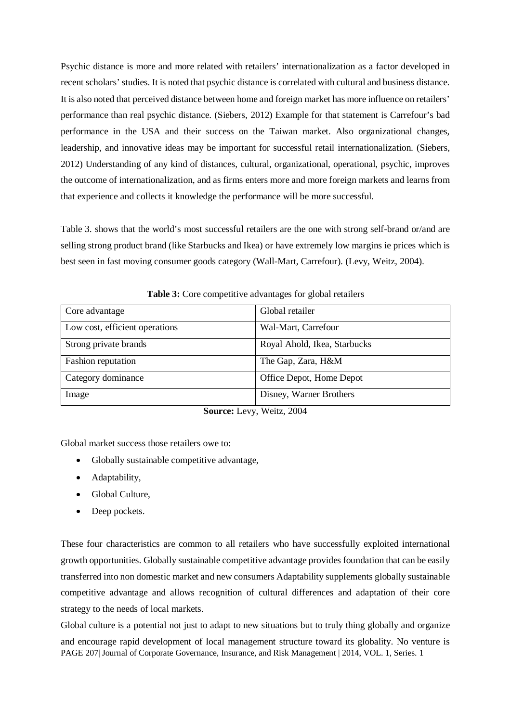Psychic distance is more and more related with retailers' internationalization as a factor developed in recent scholars' studies. It is noted that psychic distance is correlated with cultural and business distance. It is also noted that perceived distance between home and foreign market has more influence on retailers' performance than real psychic distance. (Siebers, 2012) Example for that statement is Carrefour's bad performance in the USA and their success on the Taiwan market. Also organizational changes, leadership, and innovative ideas may be important for successful retail internationalization. (Siebers, 2012) Understanding of any kind of distances, cultural, organizational, operational, psychic, improves the outcome of internationalization, and as firms enters more and more foreign markets and learns from that experience and collects it knowledge the performance will be more successful.

Table 3. shows that the world's most successful retailers are the one with strong self-brand or/and are selling strong product brand (like Starbucks and Ikea) or have extremely low margins ie prices which is best seen in fast moving consumer goods category (Wall-Mart, Carrefour). (Levy, Weitz, 2004).

| Core advantage                 | Global retailer              |
|--------------------------------|------------------------------|
| Low cost, efficient operations | Wal-Mart, Carrefour          |
| Strong private brands          | Royal Ahold, Ikea, Starbucks |
| <b>Fashion</b> reputation      | The Gap, Zara, H&M           |
| Category dominance             | Office Depot, Home Depot     |
| Image                          | Disney, Warner Brothers      |

**Table 3:** Core competitive advantages for global retailers

**Source:** Levy, Weitz, 2004

Global market success those retailers owe to:

- Globally sustainable competitive advantage,
- Adaptability,
- Global Culture,
- Deep pockets.

These four characteristics are common to all retailers who have successfully exploited international growth opportunities. Globally sustainable competitive advantage provides foundation that can be easily transferred into non domestic market and new consumers Adaptability supplements globally sustainable competitive advantage and allows recognition of cultural differences and adaptation of their core strategy to the needs of local markets.

Global culture is a potential not just to adapt to new situations but to truly thing globally and organize

PAGE 207| Journal of Corporate Governance, Insurance, and Risk Management | 2014, VOL. 1, Series. 1 and encourage rapid development of local management structure toward its globality. No venture is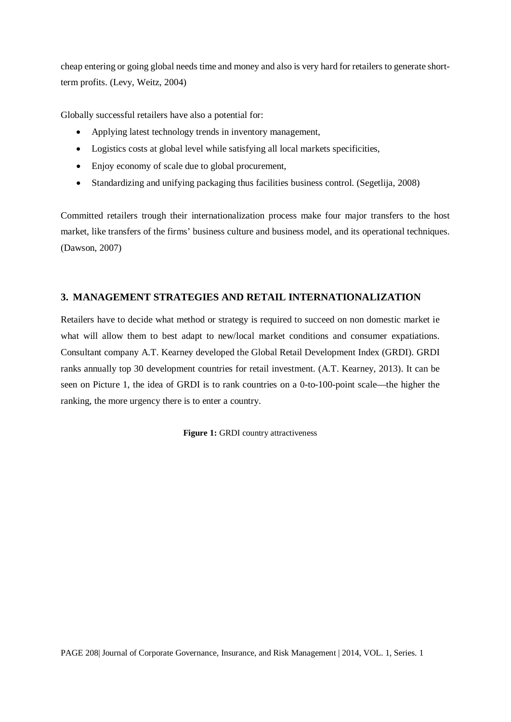cheap entering or going global needs time and money and also is very hard for retailers to generate shortterm profits. (Levy, Weitz, 2004)

Globally successful retailers have also a potential for:

- Applying latest technology trends in inventory management,
- Logistics costs at global level while satisfying all local markets specificities,
- Enjoy economy of scale due to global procurement,
- Standardizing and unifying packaging thus facilities business control. (Segetlija, 2008)

Committed retailers trough their internationalization process make four major transfers to the host market, like transfers of the firms' business culture and business model, and its operational techniques. (Dawson, 2007)

# **3. MANAGEMENT STRATEGIES AND RETAIL INTERNATIONALIZATION**

Retailers have to decide what method or strategy is required to succeed on non domestic market ie what will allow them to best adapt to new/local market conditions and consumer expatiations. Consultant company A.T. Kearney developed the Global Retail Development Index (GRDI). GRDI ranks annually top 30 development countries for retail investment. (A.T. Kearney, 2013). It can be seen on Picture 1, the idea of GRDI is to rank countries on a 0-to-100-point scale—the higher the ranking, the more urgency there is to enter a country.

**Figure 1:** GRDI country attractiveness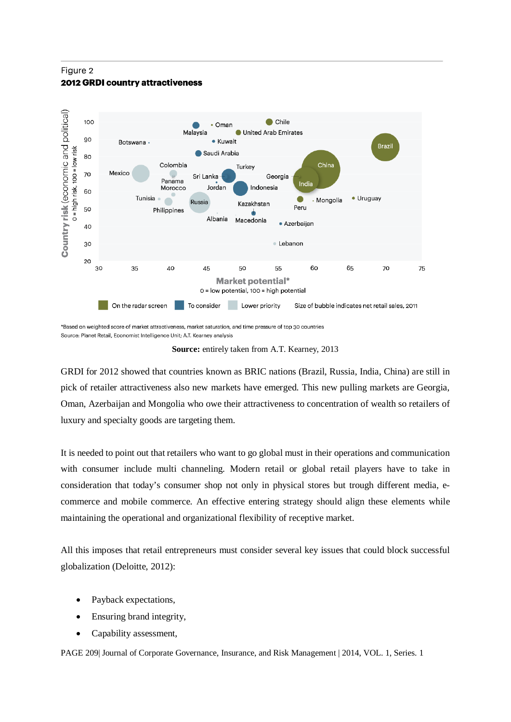### Figure 2 **2012 GRDI country attractiveness**



Source: Planet Retail, Economist Intelligence Unit; A.T. Kearney analysis

**Source:** entirely taken from A.T. Kearney, 2013

GRDI for 2012 showed that countries known as BRIC nations (Brazil, Russia, India, China) are still in pick of retailer attractiveness also new markets have emerged. This new pulling markets are Georgia, Oman, Azerbaijan and Mongolia who owe their attractiveness to concentration of wealth so retailers of luxury and specialty goods are targeting them.

It is needed to point out that retailers who want to go global must in their operations and communication with consumer include multi channeling. Modern retail or global retail players have to take in consideration that today's consumer shop not only in physical stores but trough different media, ecommerce and mobile commerce. An effective entering strategy should align these elements while maintaining the operational and organizational flexibility of receptive market.

All this imposes that retail entrepreneurs must consider several key issues that could block successful globalization (Deloitte, 2012):

- Payback expectations,
- Ensuring brand integrity,
- Capability assessment,

PAGE 209| Journal of Corporate Governance, Insurance, and Risk Management | 2014, VOL. 1, Series. 1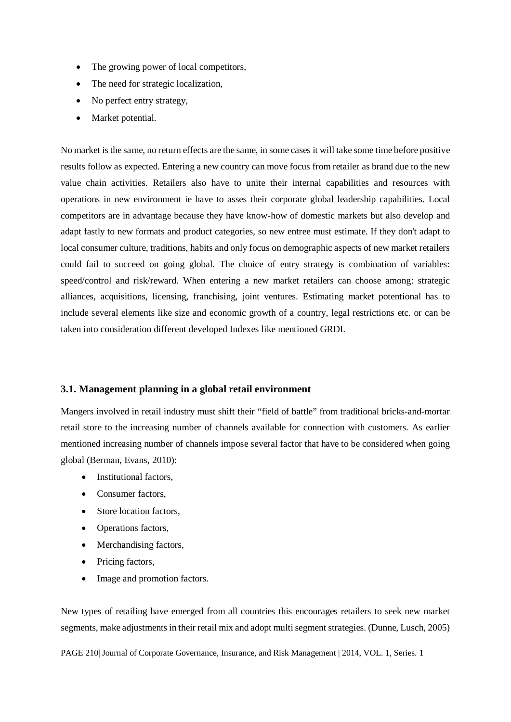- The growing power of local competitors,
- The need for strategic localization.
- No perfect entry strategy,
- Market potential.

No market is the same, no return effects are the same, in some cases it will take some time before positive results follow as expected. Entering a new country can move focus from retailer as brand due to the new value chain activities. Retailers also have to unite their internal capabilities and resources with operations in new environment ie have to asses their corporate global leadership capabilities. Local competitors are in advantage because they have know-how of domestic markets but also develop and adapt fastly to new formats and product categories, so new entree must estimate. If they don't adapt to local consumer culture, traditions, habits and only focus on demographic aspects of new market retailers could fail to succeed on going global. The choice of entry strategy is combination of variables: speed/control and risk/reward. When entering a new market retailers can choose among: strategic alliances, acquisitions, licensing, franchising, joint ventures. Estimating market potentional has to include several elements like size and economic growth of a country, legal restrictions etc. or can be taken into consideration different developed Indexes like mentioned GRDI.

#### **3.1. Management planning in a global retail environment**

Mangers involved in retail industry must shift their "field of battle" from traditional bricks-and-mortar retail store to the increasing number of channels available for connection with customers. As earlier mentioned increasing number of channels impose several factor that have to be considered when going global (Berman, Evans, 2010):

- Institutional factors.
- Consumer factors.
- Store location factors,
- Operations factors,
- Merchandising factors,
- Pricing factors,
- Image and promotion factors.

New types of retailing have emerged from all countries this encourages retailers to seek new market segments, make adjustments in their retail mix and adopt multi segment strategies. (Dunne, Lusch, 2005)

PAGE 210| Journal of Corporate Governance, Insurance, and Risk Management | 2014, VOL. 1, Series. 1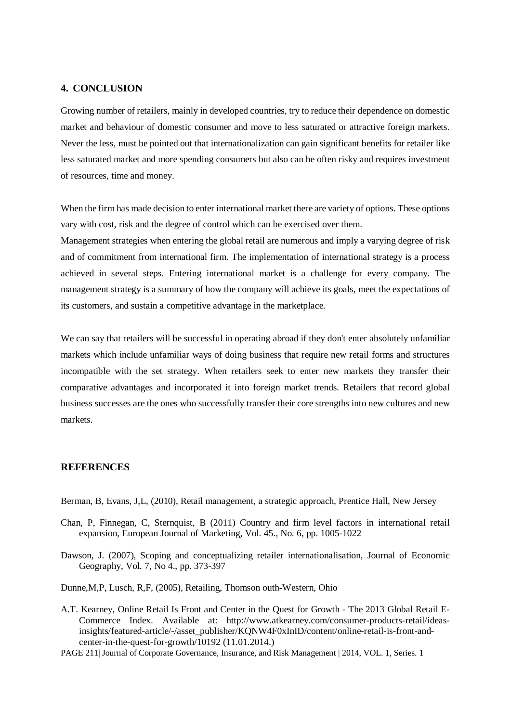### **4. CONCLUSION**

Growing number of retailers, mainly in developed countries, try to reduce their dependence on domestic market and behaviour of domestic consumer and move to less saturated or attractive foreign markets. Never the less, must be pointed out that internationalization can gain significant benefits for retailer like less saturated market and more spending consumers but also can be often risky and requires investment of resources, time and money.

When the firm has made decision to enter international market there are variety of options. These options vary with cost, risk and the degree of control which can be exercised over them.

Management strategies when entering the global retail are numerous and imply a varying degree of risk and of commitment from international firm. The implementation of international strategy is a process achieved in several steps. Entering international market is a challenge for every company. The management strategy is a summary of how the company will achieve its goals, meet the expectations of its customers, and sustain a competitive advantage in the marketplace.

We can say that retailers will be successful in operating abroad if they don't enter absolutely unfamiliar markets which include unfamiliar ways of doing business that require new retail forms and structures incompatible with the set strategy. When retailers seek to enter new markets they transfer their comparative advantages and incorporated it into foreign market trends. Retailers that record global business successes are the ones who successfully transfer their core strengths into new cultures and new markets.

#### **REFERENCES**

Berman, B, Evans, J,L, (2010), Retail management, a strategic approach*,* Prentice Hall, New Jersey

- Chan, P, Finnegan, C, Sternquist, B (2011) Country and firm level factors in international retail expansion, European Journal of Marketing, Vol. 45., No. 6, pp. 1005-1022
- Dawson, J. (2007), Scoping and conceptualizing retailer internationalisation, Journal of Economic Geography, Vol. 7, No 4., pp. 373-397
- Dunne,M,P, Lusch, R,F, (2005), Retailing, Thomson outh-Western, Ohio
- A.T. Kearney, Online Retail Is Front and Center in the Quest for Growth The 2013 Global Retail E-Commerce Index. Available at: [http://www.atkearney.com/consumer-products-retail/ideas](http://www.atkearney.com/consumer-products-retail/ideas-insights/featured-article/-/asset_publisher/KQNW4F0xInID/content/online-retail-is-front-and-center-in-the-quest-for-growth/10192)[insights/featured-article/-/asset\\_publisher/KQNW4F0xInID/content/online-retail-is-front-and](http://www.atkearney.com/consumer-products-retail/ideas-insights/featured-article/-/asset_publisher/KQNW4F0xInID/content/online-retail-is-front-and-center-in-the-quest-for-growth/10192)[center-in-the-quest-for-growth/10192](http://www.atkearney.com/consumer-products-retail/ideas-insights/featured-article/-/asset_publisher/KQNW4F0xInID/content/online-retail-is-front-and-center-in-the-quest-for-growth/10192) (11.01.2014.)
- PAGE 211| Journal of Corporate Governance, Insurance, and Risk Management | 2014, VOL. 1, Series. 1